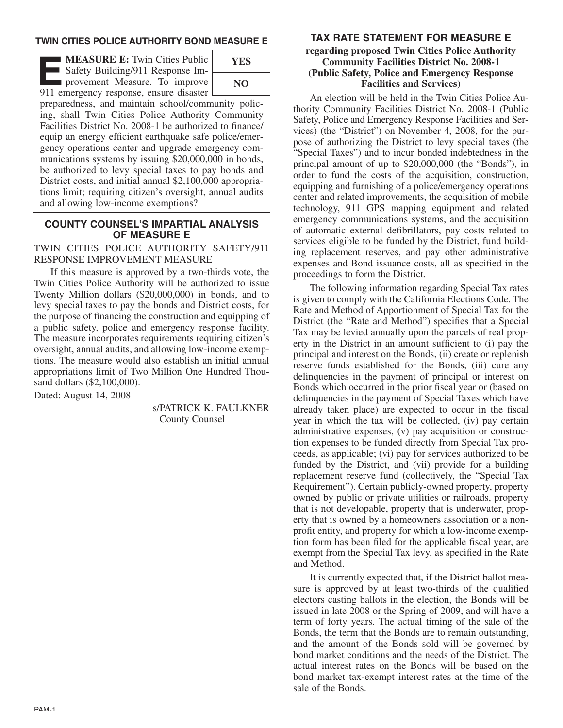#### **TWIN CITIES POLICE AUTHORITY BOND MEASURE E**

**EXECURE E:** Twin Cities Public<br>
Safety Building/911 Response Im-<br>
provement Measure. To improve<br>
911 emergency response ensure disaster Safety Building/911 Response Im-911 emergency response, ensure disaster



preparedness, and maintain school/community policing, shall Twin Cities Police Authority Community Facilities District No. 2008-1 be authorized to finance/ equip an energy efficient earthquake safe police/emergency operations center and upgrade emergency communications systems by issuing \$20,000,000 in bonds, be authorized to levy special taxes to pay bonds and District costs, and initial annual \$2,100,000 appropriations limit; requiring citizen's oversight, annual audits and allowing low-income exemptions?

#### **COUNTY COUNSEL'S IMPARTIAL ANALYSIS OF MEASURE E**

#### TWIN CITIES POLICE AUTHORITY SAFETY/911 RESPONSE IMPROVEMENT MEASURE

If this measure is approved by a two-thirds vote, the Twin Cities Police Authority will be authorized to issue Twenty Million dollars (\$20,000,000) in bonds, and to levy special taxes to pay the bonds and District costs, for the purpose of financing the construction and equipping of a public safety, police and emergency response facility. The measure incorporates requirements requiring citizen's oversight, annual audits, and allowing low-income exemptions. The measure would also establish an initial annual appropriations limit of Two Million One Hundred Thousand dollars (\$2,100,000).

Dated: August 14, 2008

s/PATRICK K. FAULKNER County Counsel

## **TAX RATE STATEMENT FOR MEASURE E**

#### **regarding proposed Twin Cities Police Authority Community Facilities District No. 2008-1 (Public Safety, Police and Emergency Response Facilities and Services)**

An election will be held in the Twin Cities Police Authority Community Facilities District No. 2008-1 (Public Safety, Police and Emergency Response Facilities and Services) (the "District") on November 4, 2008, for the purpose of authorizing the District to levy special taxes (the "Special Taxes") and to incur bonded indebtedness in the principal amount of up to \$20,000,000 (the "Bonds"), in order to fund the costs of the acquisition, construction, equipping and furnishing of a police/emergency operations center and related improvements, the acquisition of mobile technology, 911 GPS mapping equipment and related emergency communications systems, and the acquisition of automatic external defibrillators, pay costs related to services eligible to be funded by the District, fund building replacement reserves, and pay other administrative expenses and Bond issuance costs, all as specified in the proceedings to form the District.

The following information regarding Special Tax rates is given to comply with the California Elections Code. The Rate and Method of Apportionment of Special Tax for the District (the "Rate and Method") specifies that a Special Tax may be levied annually upon the parcels of real property in the District in an amount sufficient to (i) pay the principal and interest on the Bonds, (ii) create or replenish reserve funds established for the Bonds, (iii) cure any delinquencies in the payment of principal or interest on Bonds which occurred in the prior fiscal year or (based on delinquencies in the payment of Special Taxes which have already taken place) are expected to occur in the fiscal year in which the tax will be collected, (iv) pay certain administrative expenses, (v) pay acquisition or construction expenses to be funded directly from Special Tax proceeds, as applicable; (vi) pay for services authorized to be funded by the District, and (vii) provide for a building replacement reserve fund (collectively, the "Special Tax Requirement"). Certain publicly-owned property, property owned by public or private utilities or railroads, property that is not developable, property that is underwater, property that is owned by a homeowners association or a nonprofit entity, and property for which a low-income exemption form has been filed for the applicable fiscal year, are exempt from the Special Tax levy, as specified in the Rate and Method.

It is currently expected that, if the District ballot measure is approved by at least two-thirds of the qualified electors casting ballots in the election, the Bonds will be issued in late 2008 or the Spring of 2009, and will have a term of forty years. The actual timing of the sale of the Bonds, the term that the Bonds are to remain outstanding, and the amount of the Bonds sold will be governed by bond market conditions and the needs of the District. The actual interest rates on the Bonds will be based on the bond market tax-exempt interest rates at the time of the sale of the Bonds.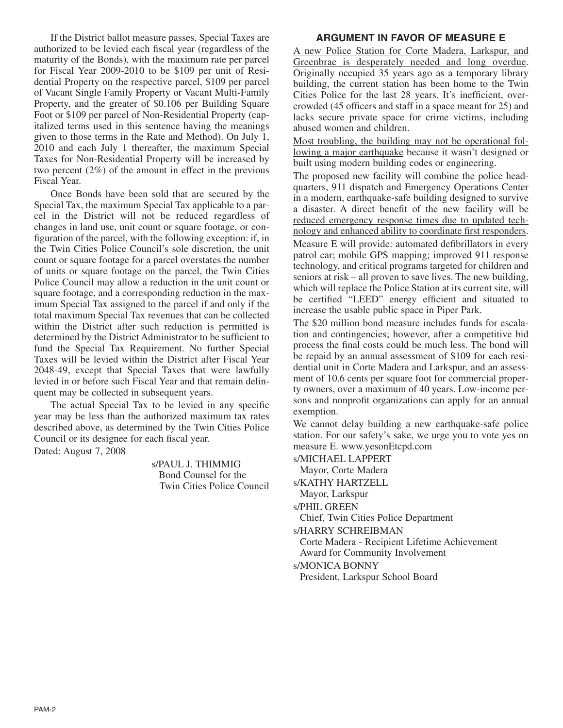If the District ballot measure passes, Special Taxes are authorized to be levied each fiscal year (regardless of the maturity of the Bonds), with the maximum rate per parcel for Fiscal Year 2009-2010 to be \$109 per unit of Residential Property on the respective parcel, \$109 per parcel of Vacant Single Family Property or Vacant Multi-Family Property, and the greater of \$0.106 per Building Square Foot or \$109 per parcel of Non-Residential Property (capitalized terms used in this sentence having the meanings given to those terms in the Rate and Method). On July 1, 2010 and each July 1 thereafter, the maximum Special Taxes for Non-Residential Property will be increased by two percent (2%) of the amount in effect in the previous Fiscal Year.

Once Bonds have been sold that are secured by the Special Tax, the maximum Special Tax applicable to a parcel in the District will not be reduced regardless of changes in land use, unit count or square footage, or configuration of the parcel, with the following exception: if, in the Twin Cities Police Council's sole discretion, the unit count or square footage for a parcel overstates the number of units or square footage on the parcel, the Twin Cities Police Council may allow a reduction in the unit count or square footage, and a corresponding reduction in the maximum Special Tax assigned to the parcel if and only if the total maximum Special Tax revenues that can be collected within the District after such reduction is permitted is determined by the District Administrator to be sufficient to fund the Special Tax Requirement. No further Special Taxes will be levied within the District after Fiscal Year 2048-49, except that Special Taxes that were lawfully levied in or before such Fiscal Year and that remain delinquent may be collected in subsequent years.

The actual Special Tax to be levied in any specific year may be less than the authorized maximum tax rates described above, as determined by the Twin Cities Police Council or its designee for each fiscal year. Dated: August 7, 2008

> s/PAUL J. THIMMIG Bond Counsel for the Twin Cities Police Council

### **ARGUMENT IN FAVOR OF MEASURE E**

A new Police Station for Corte Madera, Larkspur, and Greenbrae is desperately needed and long overdue. Originally occupied 35 years ago as a temporary library building, the current station has been home to the Twin Cities Police for the last 28 years. It's inefficient, overcrowded (45 officers and staff in a space meant for 25) and lacks secure private space for crime victims, including abused women and children.

Most troubling, the building may not be operational following a major earthquake because it wasn't designed or built using modern building codes or engineering.

The proposed new facility will combine the police headquarters, 911 dispatch and Emergency Operations Center in a modern, earthquake-safe building designed to survive a disaster. A direct benefit of the new facility will be reduced emergency response times due to updated technology and enhanced ability to coordinate first responders. Measure E will provide: automated defibrillators in every patrol car; mobile GPS mapping; improved 911 response technology, and critical programs targeted for children and seniors at risk – all proven to save lives. The new building, which will replace the Police Station at its current site, will be certified "LEED" energy efficient and situated to

increase the usable public space in Piper Park. The \$20 million bond measure includes funds for escalation and contingencies; however, after a competitive bid process the final costs could be much less. The bond will be repaid by an annual assessment of \$109 for each residential unit in Corte Madera and Larkspur, and an assessment of 10.6 cents per square foot for commercial property owners, over a maximum of 40 years. Low-income persons and nonprofit organizations can apply for an annual exemption.

We cannot delay building a new earthquake-safe police station. For our safety's sake, we urge you to vote yes on measure E. www.yesonEtcpd.com

s/MICHAEL LAPPERT Mayor, Corte Madera s/KATHY HARTZELL Mayor, Larkspur s/PHIL GREEN Chief, Twin Cities Police Department s/HARRY SCHREIBMAN Corte Madera - Recipient Lifetime Achievement Award for Community Involvement s/MONICA BONNY President, Larkspur School Board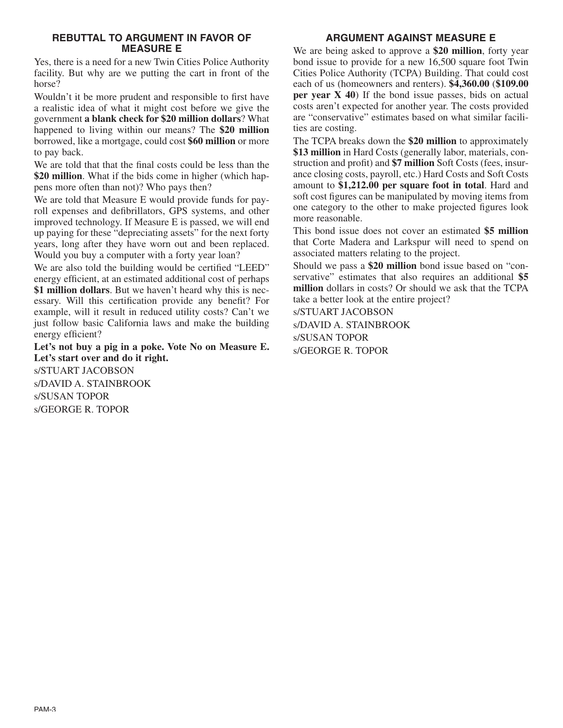#### **REBUTTAL TO ARGUMENT IN FAVOR OF MEASURE E**

Yes, there is a need for a new Twin Cities Police Authority facility. But why are we putting the cart in front of the horse?

Wouldn't it be more prudent and responsible to first have a realistic idea of what it might cost before we give the government **a blank check for \$20 million dollars**? What happened to living within our means? The **\$20 million** borrowed, like a mortgage, could cost **\$60 million** or more to pay back.

We are told that that the final costs could be less than the **\$20 million**. What if the bids come in higher (which happens more often than not)? Who pays then?

We are told that Measure E would provide funds for payroll expenses and defibrillators, GPS systems, and other improved technology. If Measure E is passed, we will end up paying for these "depreciating assets" for the next forty years, long after they have worn out and been replaced. Would you buy a computer with a forty year loan?

We are also told the building would be certified "LEED" energy efficient, at an estimated additional cost of perhaps **\$1 million dollars**. But we haven't heard why this is necessary. Will this certification provide any benefit? For example, will it result in reduced utility costs? Can't we just follow basic California laws and make the building energy efficient?

**Let's not buy a pig in a poke. Vote No on Measure E. Let's start over and do it right.**

s/STUART JACOBSON s/DAVID A. STAINBROOK s/SUSAN TOPOR s/GEORGE R. TOPOR

# **ARGUMENT AGAINST MEASURE E**

We are being asked to approve a **\$20 million**, forty year bond issue to provide for a new 16,500 square foot Twin Cities Police Authority (TCPA) Building. That could cost each of us (homeowners and renters). **\$4,360.00** (**\$109.00 per year X 40**) If the bond issue passes, bids on actual costs aren't expected for another year. The costs provided are "conservative" estimates based on what similar facilities are costing.

The TCPA breaks down the **\$20 million** to approximately **\$13 million** in Hard Costs (generally labor, materials, construction and profit) and **\$7 million** Soft Costs (fees, insurance closing costs, payroll, etc.) Hard Costs and Soft Costs amount to **\$1,212.00 per square foot in total**. Hard and soft cost figures can be manipulated by moving items from one category to the other to make projected figures look more reasonable.

This bond issue does not cover an estimated **\$5 million** that Corte Madera and Larkspur will need to spend on associated matters relating to the project.

Should we pass a **\$20 million** bond issue based on "conservative" estimates that also requires an additional **\$5 million** dollars in costs? Or should we ask that the TCPA take a better look at the entire project?

s/STUART JACOBSON

s/DAVID A. STAINBROOK s/SUSAN TOPOR s/GEORGE R. TOPOR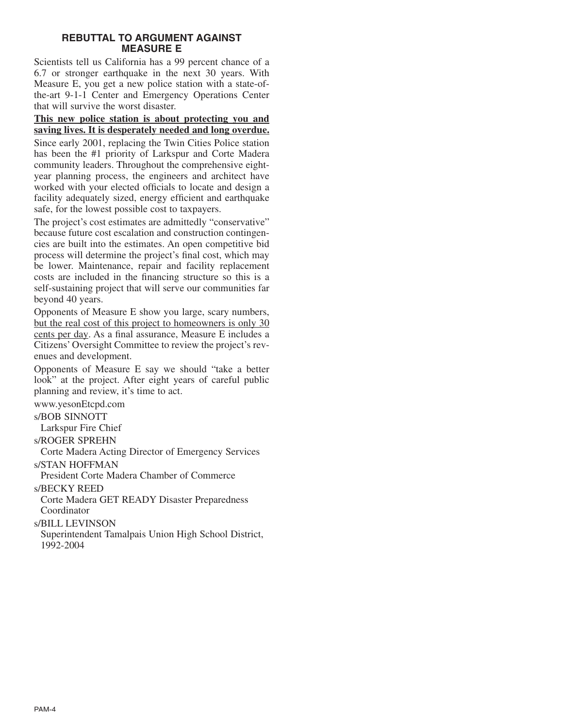#### **REBUTTAL TO ARGUMENT AGAINST MEASURE E**

Scientists tell us California has a 99 percent chance of a 6.7 or stronger earthquake in the next 30 years. With Measure E, you get a new police station with a state-ofthe-art 9-1-1 Center and Emergency Operations Center that will survive the worst disaster.

**This new police station is about protecting you and saving lives. It is desperately needed and long overdue.**

Since early 2001, replacing the Twin Cities Police station has been the #1 priority of Larkspur and Corte Madera community leaders. Throughout the comprehensive eightyear planning process, the engineers and architect have worked with your elected officials to locate and design a facility adequately sized, energy efficient and earthquake safe, for the lowest possible cost to taxpayers.

The project's cost estimates are admittedly "conservative" because future cost escalation and construction contingencies are built into the estimates. An open competitive bid process will determine the project's final cost, which may be lower. Maintenance, repair and facility replacement costs are included in the financing structure so this is a self-sustaining project that will serve our communities far beyond 40 years.

Opponents of Measure E show you large, scary numbers, but the real cost of this project to homeowners is only 30 cents per day. As a final assurance, Measure E includes a Citizens' Oversight Committee to review the project's revenues and development.

Opponents of Measure E say we should "take a better look" at the project. After eight years of careful public planning and review, it's time to act.

www.yesonEtcpd.com

s/BOB SINNOTT

Larkspur Fire Chief

s/ROGER SPREHN

Corte Madera Acting Director of Emergency Services

s/STAN HOFFMAN

President Corte Madera Chamber of Commerce

s/BECKY REED

Corte Madera GET READY Disaster Preparedness Coordinator

s/BILL LEVINSON

Superintendent Tamalpais Union High School District, 1992-2004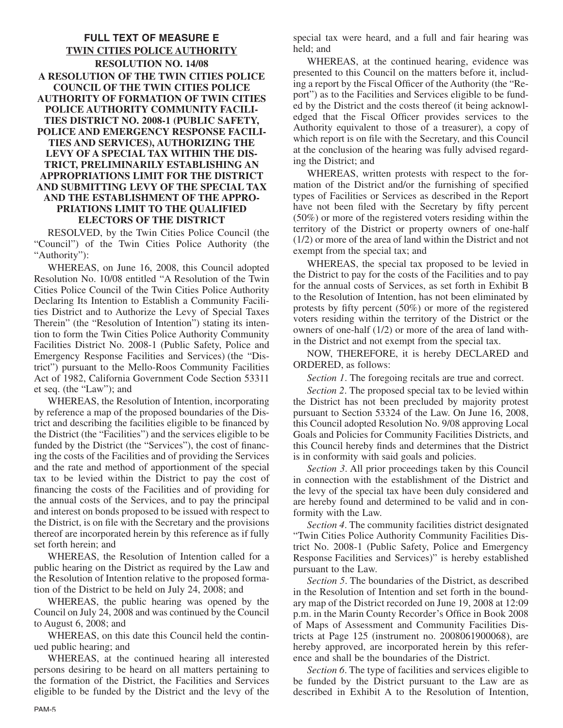### **FULL TEXT OF MEASURE E TWIN CITIES POLICE AUTHORITY RESOLUTION NO. 14/08 A RESOLUTION OF THE TWIN CITIES POLICE COUNCIL OF THE TWIN CITIES POLICE AUTHORITY OF FORMATION OF TWIN CITIES POLICE AUTHORITY COMMUNITY FACILI-TIES DISTRICT NO. 2008-1 (PUBLIC SAFETY, POLICE AND EMERGENCY RESPONSE FACILI-TIES AND SERVICES), AUTHORIZING THE LEVY OF A SPECIAL TAX WITHIN THE DIS-TRICT, PRELIMINARILY ESTABLISHING AN APPROPRIATIONS LIMIT FOR THE DISTRICT AND SUBMITTING LEVY OF THE SPECIAL TAX AND THE ESTABLISHMENT OF THE APPRO-PRIATIONS LIMIT TO THE QUALIFIED ELECTORS OF THE DISTRICT**

RESOLVED, by the Twin Cities Police Council (the "Council") of the Twin Cities Police Authority (the "Authority"):

WHEREAS, on June 16, 2008, this Council adopted Resolution No. 10/08 entitled "A Resolution of the Twin Cities Police Council of the Twin Cities Police Authority Declaring Its Intention to Establish a Community Facilities District and to Authorize the Levy of Special Taxes Therein" (the "Resolution of Intention") stating its intention to form the Twin Cities Police Authority Community Facilities District No. 2008-1 (Public Safety, Police and Emergency Response Facilities and Services) (the "District") pursuant to the Mello-Roos Community Facilities Act of 1982, California Government Code Section 53311 et seq. (the "Law"); and

WHEREAS, the Resolution of Intention, incorporating by reference a map of the proposed boundaries of the District and describing the facilities eligible to be financed by the District (the "Facilities") and the services eligible to be funded by the District (the "Services"), the cost of financing the costs of the Facilities and of providing the Services and the rate and method of apportionment of the special tax to be levied within the District to pay the cost of financing the costs of the Facilities and of providing for the annual costs of the Services, and to pay the principal and interest on bonds proposed to be issued with respect to the District, is on file with the Secretary and the provisions thereof are incorporated herein by this reference as if fully set forth herein; and

WHEREAS, the Resolution of Intention called for a public hearing on the District as required by the Law and the Resolution of Intention relative to the proposed formation of the District to be held on July 24, 2008; and

WHEREAS, the public hearing was opened by the Council on July 24, 2008 and was continued by the Council to August 6, 2008; and

WHEREAS, on this date this Council held the continued public hearing; and

WHEREAS, at the continued hearing all interested persons desiring to be heard on all matters pertaining to the formation of the District, the Facilities and Services eligible to be funded by the District and the levy of the special tax were heard, and a full and fair hearing was held; and

WHEREAS, at the continued hearing, evidence was presented to this Council on the matters before it, including a report by the Fiscal Officer of the Authority (the "Report") as to the Facilities and Services eligible to be funded by the District and the costs thereof (it being acknowledged that the Fiscal Officer provides services to the Authority equivalent to those of a treasurer), a copy of which report is on file with the Secretary, and this Council at the conclusion of the hearing was fully advised regarding the District; and

WHEREAS, written protests with respect to the formation of the District and/or the furnishing of specified types of Facilities or Services as described in the Report have not been filed with the Secretary by fifty percent (50%) or more of the registered voters residing within the territory of the District or property owners of one-half (1/2) or more of the area of land within the District and not exempt from the special tax; and

WHEREAS, the special tax proposed to be levied in the District to pay for the costs of the Facilities and to pay for the annual costs of Services, as set forth in Exhibit B to the Resolution of Intention, has not been eliminated by protests by fifty percent (50%) or more of the registered voters residing within the territory of the District or the owners of one-half (1/2) or more of the area of land within the District and not exempt from the special tax.

NOW, THEREFORE, it is hereby DECLARED and ORDERED, as follows:

*Section 1*. The foregoing recitals are true and correct.

*Section 2*. The proposed special tax to be levied within the District has not been precluded by majority protest pursuant to Section 53324 of the Law. On June 16, 2008, this Council adopted Resolution No. 9/08 approving Local Goals and Policies for Community Facilities Districts, and this Council hereby finds and determines that the District is in conformity with said goals and policies.

*Section 3*. All prior proceedings taken by this Council in connection with the establishment of the District and the levy of the special tax have been duly considered and are hereby found and determined to be valid and in conformity with the Law.

*Section 4*. The community facilities district designated "Twin Cities Police Authority Community Facilities District No. 2008-1 (Public Safety, Police and Emergency Response Facilities and Services)" is hereby established pursuant to the Law.

*Section 5*. The boundaries of the District, as described in the Resolution of Intention and set forth in the boundary map of the District recorded on June 19, 2008 at 12:09 p.m. in the Marin County Recorder's Office in Book 2008 of Maps of Assessment and Community Facilities Districts at Page 125 (instrument no. 2008061900068), are hereby approved, are incorporated herein by this reference and shall be the boundaries of the District.

*Section 6*. The type of facilities and services eligible to be funded by the District pursuant to the Law are as described in Exhibit A to the Resolution of Intention,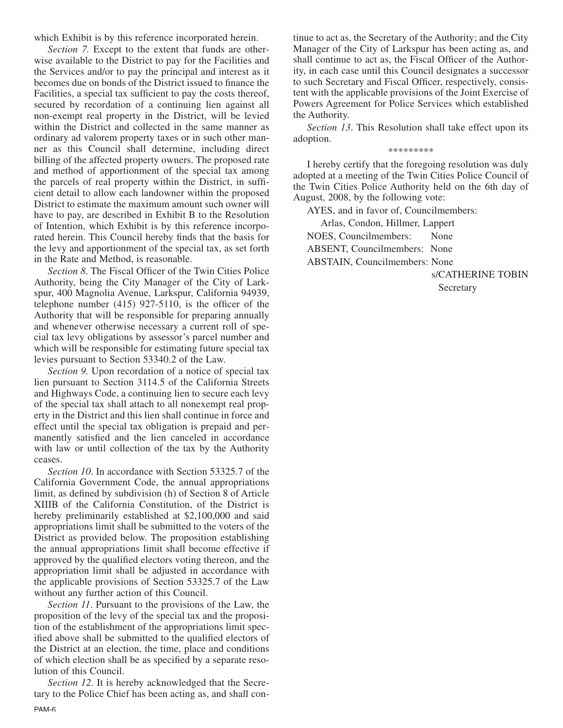which Exhibit is by this reference incorporated herein.

*Section 7.* Except to the extent that funds are otherwise available to the District to pay for the Facilities and the Services and/or to pay the principal and interest as it becomes due on bonds of the District issued to finance the Facilities, a special tax sufficient to pay the costs thereof, secured by recordation of a continuing lien against all non-exempt real property in the District, will be levied within the District and collected in the same manner as ordinary ad valorem property taxes or in such other manner as this Council shall determine, including direct billing of the affected property owners. The proposed rate and method of apportionment of the special tax among the parcels of real property within the District, in sufficient detail to allow each landowner within the proposed District to estimate the maximum amount such owner will have to pay, are described in Exhibit B to the Resolution of Intention, which Exhibit is by this reference incorporated herein. This Council hereby finds that the basis for the levy and apportionment of the special tax, as set forth in the Rate and Method, is reasonable.

*Section 8*. The Fiscal Officer of the Twin Cities Police Authority, being the City Manager of the City of Larkspur, 400 Magnolia Avenue, Larkspur, California 94939, telephone number (415) 927-5110, is the officer of the Authority that will be responsible for preparing annually and whenever otherwise necessary a current roll of special tax levy obligations by assessor's parcel number and which will be responsible for estimating future special tax levies pursuant to Section 53340.2 of the Law.

*Section 9.* Upon recordation of a notice of special tax lien pursuant to Section 3114.5 of the California Streets and Highways Code, a continuing lien to secure each levy of the special tax shall attach to all nonexempt real property in the District and this lien shall continue in force and effect until the special tax obligation is prepaid and permanently satisfied and the lien canceled in accordance with law or until collection of the tax by the Authority ceases.

*Section 10*. In accordance with Section 53325.7 of the California Government Code, the annual appropriations limit, as defined by subdivision (h) of Section 8 of Article XIIIB of the California Constitution, of the District is hereby preliminarily established at \$2,100,000 and said appropriations limit shall be submitted to the voters of the District as provided below. The proposition establishing the annual appropriations limit shall become effective if approved by the qualified electors voting thereon, and the appropriation limit shall be adjusted in accordance with the applicable provisions of Section 53325.7 of the Law without any further action of this Council.

*Section 11*. Pursuant to the provisions of the Law, the proposition of the levy of the special tax and the proposition of the establishment of the appropriations limit specified above shall be submitted to the qualified electors of the District at an election, the time, place and conditions of which election shall be as specified by a separate resolution of this Council.

*Section 12*. It is hereby acknowledged that the Secretary to the Police Chief has been acting as, and shall con-PAM-6

tinue to act as, the Secretary of the Authority; and the City Manager of the City of Larkspur has been acting as, and shall continue to act as, the Fiscal Officer of the Authority, in each case until this Council designates a successor to such Secretary and Fiscal Officer, respectively, consistent with the applicable provisions of the Joint Exercise of Powers Agreement for Police Services which established the Authority.

*Section 13*. This Resolution shall take effect upon its adoption.

#### \*\*\*\*\*\*\*\*\*

I hereby certify that the foregoing resolution was duly adopted at a meeting of the Twin Cities Police Council of the Twin Cities Police Authority held on the 6th day of August, 2008, by the following vote:

AYES, and in favor of, Councilmembers:

Arlas, Condon, Hillmer, Lappert NOES, Councilmembers: None ABSENT, Councilmembers: None ABSTAIN, Councilmembers: None

s/CATHERINE TOBIN

**Secretary**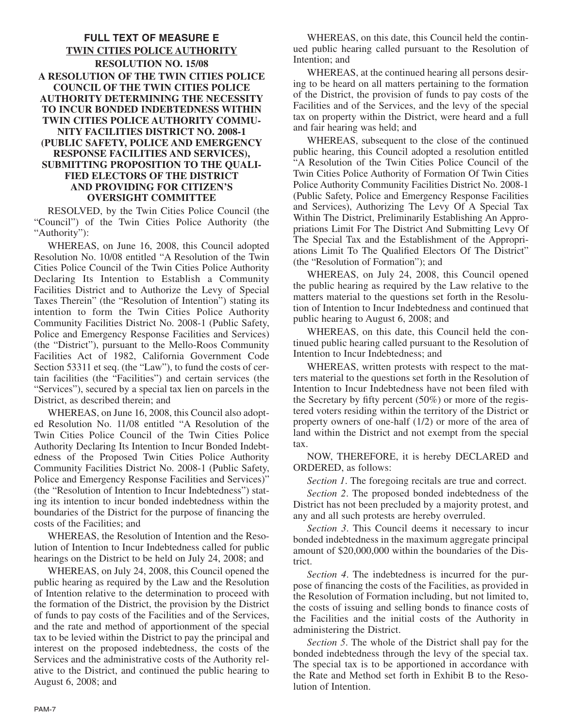#### **FULL TEXT OF MEASURE E TWIN CITIES POLICE AUTHORITY RESOLUTION NO. 15/08 A RESOLUTION OF THE TWIN CITIES POLICE COUNCIL OF THE TWIN CITIES POLICE AUTHORITY DETERMINING THE NECESSITY TO INCUR BONDED INDEBTEDNESS WITHIN TWIN CITIES POLICE AUTHORITY COMMU-NITY FACILITIES DISTRICT NO. 2008-1 (PUBLIC SAFETY, POLICE AND EMERGENCY RESPONSE FACILITIES AND SERVICES), SUBMITTING PROPOSITION TO THE QUALI-FIED ELECTORS OF THE DISTRICT AND PROVIDING FOR CITIZEN'S OVERSIGHT COMMITTEE**

RESOLVED, by the Twin Cities Police Council (the "Council") of the Twin Cities Police Authority (the "Authority"):

WHEREAS, on June 16, 2008, this Council adopted Resolution No. 10/08 entitled "A Resolution of the Twin Cities Police Council of the Twin Cities Police Authority Declaring Its Intention to Establish a Community Facilities District and to Authorize the Levy of Special Taxes Therein" (the "Resolution of Intention") stating its intention to form the Twin Cities Police Authority Community Facilities District No. 2008-1 (Public Safety, Police and Emergency Response Facilities and Services) (the "District"), pursuant to the Mello-Roos Community Facilities Act of 1982, California Government Code Section 53311 et seq. (the "Law"), to fund the costs of certain facilities (the "Facilities") and certain services (the "Services"), secured by a special tax lien on parcels in the District, as described therein; and

WHEREAS, on June 16, 2008, this Council also adopted Resolution No. 11/08 entitled "A Resolution of the Twin Cities Police Council of the Twin Cities Police Authority Declaring Its Intention to Incur Bonded Indebtedness of the Proposed Twin Cities Police Authority Community Facilities District No. 2008-1 (Public Safety, Police and Emergency Response Facilities and Services)" (the "Resolution of Intention to Incur Indebtedness") stating its intention to incur bonded indebtedness within the boundaries of the District for the purpose of financing the costs of the Facilities; and

WHEREAS, the Resolution of Intention and the Resolution of Intention to Incur Indebtedness called for public hearings on the District to be held on July 24, 2008; and

WHEREAS, on July 24, 2008, this Council opened the public hearing as required by the Law and the Resolution of Intention relative to the determination to proceed with the formation of the District, the provision by the District of funds to pay costs of the Facilities and of the Services, and the rate and method of apportionment of the special tax to be levied within the District to pay the principal and interest on the proposed indebtedness, the costs of the Services and the administrative costs of the Authority relative to the District, and continued the public hearing to August 6, 2008; and

WHEREAS, on this date, this Council held the continued public hearing called pursuant to the Resolution of Intention; and

WHEREAS, at the continued hearing all persons desiring to be heard on all matters pertaining to the formation of the District, the provision of funds to pay costs of the Facilities and of the Services, and the levy of the special tax on property within the District, were heard and a full and fair hearing was held; and

WHEREAS, subsequent to the close of the continued public hearing, this Council adopted a resolution entitled "A Resolution of the Twin Cities Police Council of the Twin Cities Police Authority of Formation Of Twin Cities Police Authority Community Facilities District No. 2008-1 (Public Safety, Police and Emergency Response Facilities and Services), Authorizing The Levy Of A Special Tax Within The District, Preliminarily Establishing An Appropriations Limit For The District And Submitting Levy Of The Special Tax and the Establishment of the Appropriations Limit To The Qualified Electors Of The District" (the "Resolution of Formation"); and

WHEREAS, on July 24, 2008, this Council opened the public hearing as required by the Law relative to the matters material to the questions set forth in the Resolution of Intention to Incur Indebtedness and continued that public hearing to August 6, 2008; and

WHEREAS, on this date, this Council held the continued public hearing called pursuant to the Resolution of Intention to Incur Indebtedness; and

WHEREAS, written protests with respect to the matters material to the questions set forth in the Resolution of Intention to Incur Indebtedness have not been filed with the Secretary by fifty percent (50%) or more of the registered voters residing within the territory of the District or property owners of one-half (1/2) or more of the area of land within the District and not exempt from the special tax.

NOW, THEREFORE, it is hereby DECLARED and ORDERED, as follows:

*Section 1*. The foregoing recitals are true and correct.

*Section 2*. The proposed bonded indebtedness of the District has not been precluded by a majority protest, and any and all such protests are hereby overruled.

*Section 3*. This Council deems it necessary to incur bonded indebtedness in the maximum aggregate principal amount of \$20,000,000 within the boundaries of the District.

*Section 4*. The indebtedness is incurred for the purpose of financing the costs of the Facilities, as provided in the Resolution of Formation including, but not limited to, the costs of issuing and selling bonds to finance costs of the Facilities and the initial costs of the Authority in administering the District.

*Section 5*. The whole of the District shall pay for the bonded indebtedness through the levy of the special tax. The special tax is to be apportioned in accordance with the Rate and Method set forth in Exhibit B to the Resolution of Intention.